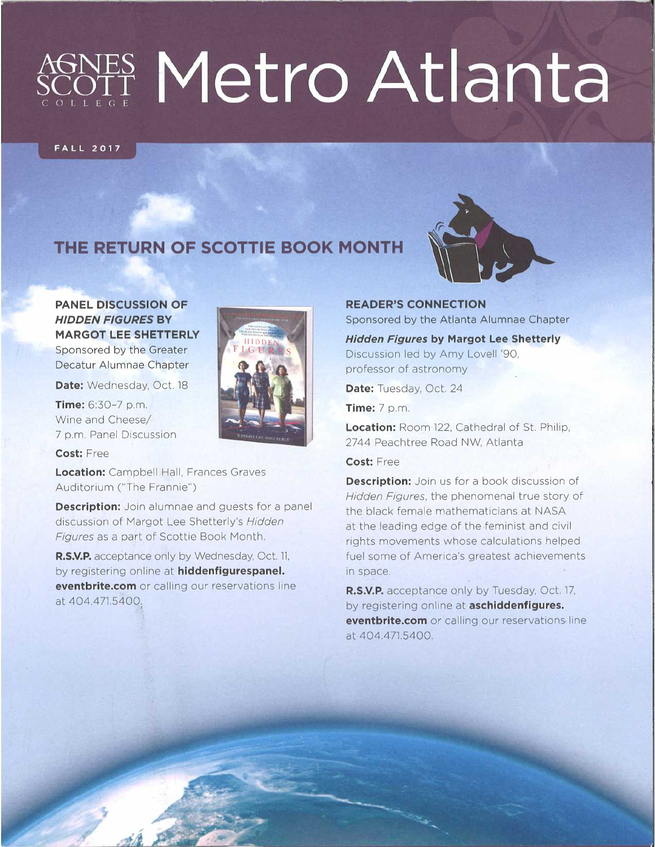# NES Metro Atlanta

#### **FALL 2017**

### **THE RETURN OF SCOTTIE BOOK MONTH**



**PANEL DISCUSSION OF**  *HIDDEN FIGURES* **BY MARGOT LEE SHETTERLY** Sponsored by the Greater Decatur Alumnae Chapter

Date: Wednesday, Oct. 18

**Time:** 6:30-7 p.m. Wine and Cheese/ <sup>7</sup>p.m. Panel Discussion

**Cost:** Free

**Location:** Campbell Hall, Frances Graves Auditorium ("The Frannie")

**Description:** Join alumnae and guests for a panel discussion of Margot Lee Shetterly's *Hidden Figures* as a part of Scottie Book Month.

**R.S.V.P.** acceptance only by Wednesday, Oct. 11, by registering online at **hiddenfigurespanel. eventbrite.com** or calling our reservations line at 404.471.5400.

**READER'S CONNECTION**  Sponsored by the Atlanta Alumnae Chapter

*Hidden Figures* **by Margot Lee Shetterly**  Discussion led by Amy Lovell '90, professor of astronomy

Date: Tuesday, Oct. 24

**Time:** 7 p.m.

**Location:** Room 122, Cathedral of St. Philip, 2744 Peachtree Road NW, Atlanta

#### **Cost:** Free

**Description:** Join us for a book discussion of *Hidden Figures,* the phenomenal true story of the black female mathematicians at NASA at the leading edge of the feminist and civil rights movements whose calculations helped fuel some of America's greatest achievements in space.

**R.S.V.P.** acceptance only by Tuesday, Oct. 17, by registering online at **aschiddenfigures. eventbrite.com** or calling our reservations line at 404.471.5400.

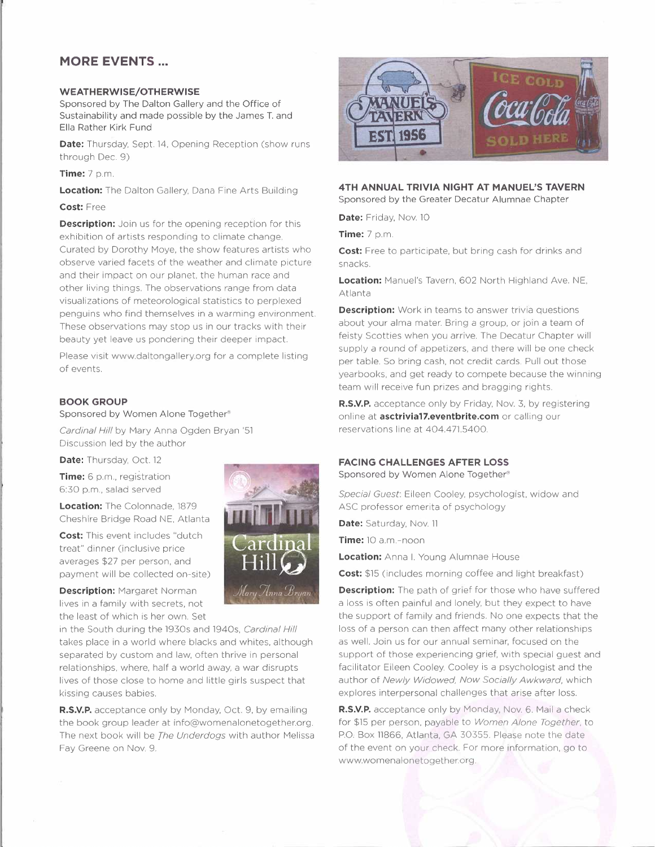#### **MORE EVENTS ...**

#### **WEATHERWISE/OTHERWISE**

Sponsored by The Dalton Gallery and the Office of Sustainability and made possible by the James T. and Ella Rather Kirk Fund

**Date:** Thursday, Sept. 14, Opening Reception (show runs) through Dec. 9)

**Time:** 7 p.m.

**Location:** The Dalton Gallery, Dana Fine Arts Building

#### **Cost:** Free

**Description:** Join us for the opening reception for this exhibition of artists responding to climate change. Curated by Dorothy Moye, the show features artists who observe varied facets of the weather and climate picture and their impact on our planet, the human race and other living things. The observations range from data visualizations of meteorological statistics to perplexed penguins who find themselves in a warming environment. These observations may stop us in our tracks with their beauty yet leave us pondering their deeper impact.

Please visit www.daltongallery.org for a complete listing of events.

#### **BOOK GROUP**

Sponsored by Women Alone Together®

*Cardinal Hill* by Mary Anna Ogden Bryan '51 Discussion led by the author

Date: Thursday, Oct. 12

**Time:** 6 p.m., registration 6:30 p.m., salad served

**Location:** The Colonnade, 1879 Cheshire Bridge Road NE, Atlanta

**Cost:** This event includes "dutch treat" dinner (inclusive price averages \$27 per person, and payment will be collected on-site)

**Description:** Margaret Norman lives in a family with secrets, not the least of which is her own. Set

in the South during the 1930s and 1940s, *Cardinal Hill*  takes place in a world where blacks and whites, although separated by custom and law, often thrive in personal relationships, where, half a world away, a war disrupts lives of those close to home and little girls suspect that kissing causes babies.

**R.S.V.P.** acceptance only by Monday, Oct. 9, by emailing the book group leader at info@womenalonetogether.org. The next book will be *The Underdogs* with author Melissa Fay Greene on Nov. 9.





**4TH ANNUAL TRIVIA NIGHT AT MANUEL'S TAVERN**  Sponsored by the Greater Decatur Alumnae Chapter

Date: Friday, Nov. 10

**Time:** 7 p.m

**Cost:** Free to participate, but bring cash for drinks and snacks.

**Location:** Manuel's Tavern, 602 North Highland Ave. NE, Atlanta

**Description:** Work in teams to answer trivia questions about your alma mater. Bring a group, or join a team of feisty Scotties when you arrive. The Decatur Chapter will supply a round of appetizers, and there will be one check per table. So bring cash, not credit cards. Pull out those yearbooks, and get ready to compete because the winning team will receive fun prizes and bragging rights.

**R.S.V.P.** acceptance only by Friday, Nov. 3, by registering online at **asctrivia17.eventbrite.com** or calling our reservations line at 404.471.5400.

#### **FACING CHALLENGES AFTER LOSS**

Sponsored by Women Alone Together®

*Special Guest:* Eileen Cooley, psychologist, widow and ASC professor emerita of psychology

**Date:** Saturday, Nov. 11

**Time:** 10 a.m.-noon

**Location:** Anna I. Young Alumnae House

**Cost:** \$15 (includes morning coffee and light breakfast)

**Description:** The path of grief for those who have suffered a loss is often painful and lonely, but they expect to have the support of family and friends. No one expects that the loss of a person can then affect many other relationships as well. Join us for our annual seminar, focused on the support of those experiencing grief, with special guest and facilitator Eileen Cooley. Cooley is a psychologist and the author of *Newly Widowed, Now Socially Awkward,* which explores interpersonal challenges that arise after loss.

**R.S.V.P.** acceptance only by Monday, Nov. 6. Mail a check for \$15 per person, payable to *Women Alone Together.* to P.O. Box 11866, Atlanta, GA 30355. Please note the date of the event on your check. For more information, go to www.womenalonetogether.org.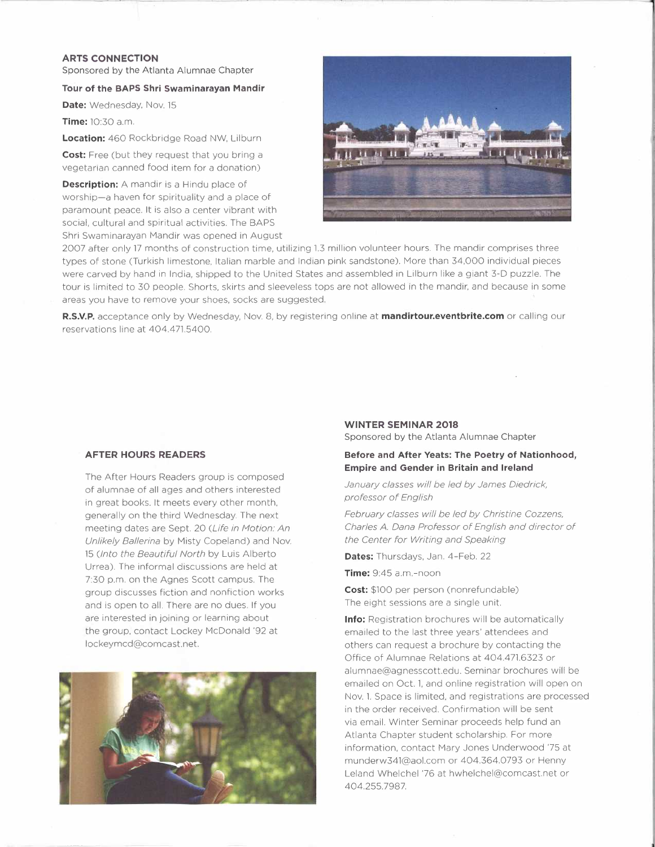#### **ARTS CONNECTION**

Sponsored by the Atlanta Alumnae Chapter

#### **Tour of the BAPS Shri Swaminarayan Mandir**

Date: Wednesday, Nov. 15

**Time:** 10:30 a.m.

**Location:** 460 Rockbridge Road NW, Lilburn

**Cost:** Free (but they request that you bring a vegetarian canned food item for a donation)

**Description:** A mandir is a Hindu place of worship-a haven for spirituality and a place of paramount peace. It is also a center vibrant with social, cultural and spiritual activities. The BAPS Shri Swaminarayan Mandir was opened in August



2007 after only 17 months of construction time, utilizing 1.3 million volunteer hours. The mandir comprises three types of stone (Turkish limestone, Italian marble and Indian pink sandstone). More than 34,000 individual pieces were carved by hand in India, shipped to the United States and assembled in Lilburn like a giant 3-D puzzle. The tour is limited to 30 people. Shorts, skirts and sleeveless tops are not allowed in the mandir, and because in some areas you have to remove your shoes, socks are suggested.

**R.S.V.P.** acceptance only by Wednesday, Nov. 8, by registering online at **mandirtour.eventbrite.com** or calling our reservations line at 404.471.5400.

#### **AFTER HOURS READERS**

The After Hours Readers group is composed of alumnae of all ages and others interested in great books. It meets every other month, generally on the third Wednesday. The next meeting dates are Sept. 20 *(Life in Motion: An Unlikely Ballerina* by Misty Copeland) and Nov. <sup>15</sup>*(Into the Beautiful North* by Luis Alberto Urrea). The informal discussions are held at 7:30 p.m. on the Agnes Scott campus. The group discusses fiction and nonfiction works and is open to all. There are no dues. If you are interested in joining or learning about the group, contact Lockey McDonald '92 at lockeymcd@comcast.net.



#### **WINTER SEMINAR 2018**

Sponsored by the Atlanta Alumnae Chapter

#### **Before and After Yeats: The Poetry of Nationhood, Empire and Gender in Britain and Ireland**

*January classes will be led by James Diedrick, professor of English* 

*February classes will be led by Christine Cozzens, Charles A. Dana Professor of English and director of the Center for Writing and Speaking* 

**Dates:** Thursdays, Jan. 4-Feb. 22

**Time:** 9:45 a.m.-noon

**Cost:** \$100 per person (nonrefundable) The eight sessions are a single unit.

**Info:** Registration brochures will be automatically emailed to the last three years' attendees and others can request a brochure by contacting the Office of Alumnae Relations at 404.471.6323 or alumnae@agnesscott.edu. Seminar brochures will be emailed on Oct. 1, and online registration will open on Nov. 1. Space is limited, and registrations are processed in the order received. Confirmation will be sent via email. Winter Seminar proceeds help fund an Atlanta Chapter student scholarship. For more information, contact Mary Jones Underwood '75 at munderw34l@aol.com or 404.364.0793 or Henny Leland Whelchel '76 at hwhelchel@comcast.net or 404.255. 7987.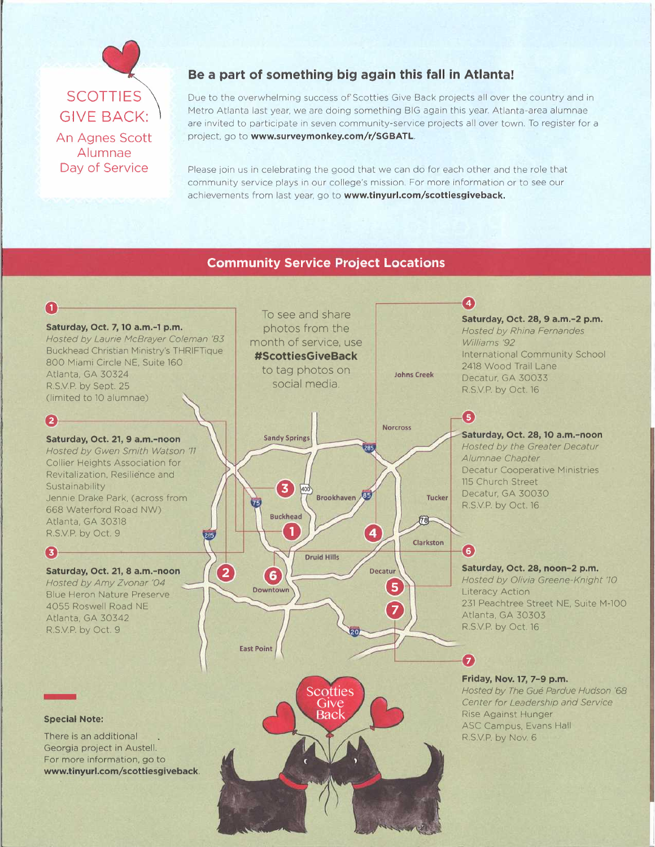## **SCOTTIES GIVE BACK:** An Agnes Scott Alumnae Day of Service

#### **Be a part of something big again this fall in Atlanta!**

Due to the overwhelming success of' Scotties Give Back projects all over the country and in Metro Atlanta last year, we are doing something BIG again this year. Atlanta-area alumnae are invited to participate in seven community-service projects all over town. To register for a project. go to **www.surveymonkey.com/r/SGBATL.** 

Please join us in celebrating the good that we can do for each other and the role that community service plays in our college's mission. For more information or to see our achievements from last year, go to **www.tinyurl.com/scottiesgiveback.** 

#### **Community Service Project Locations**

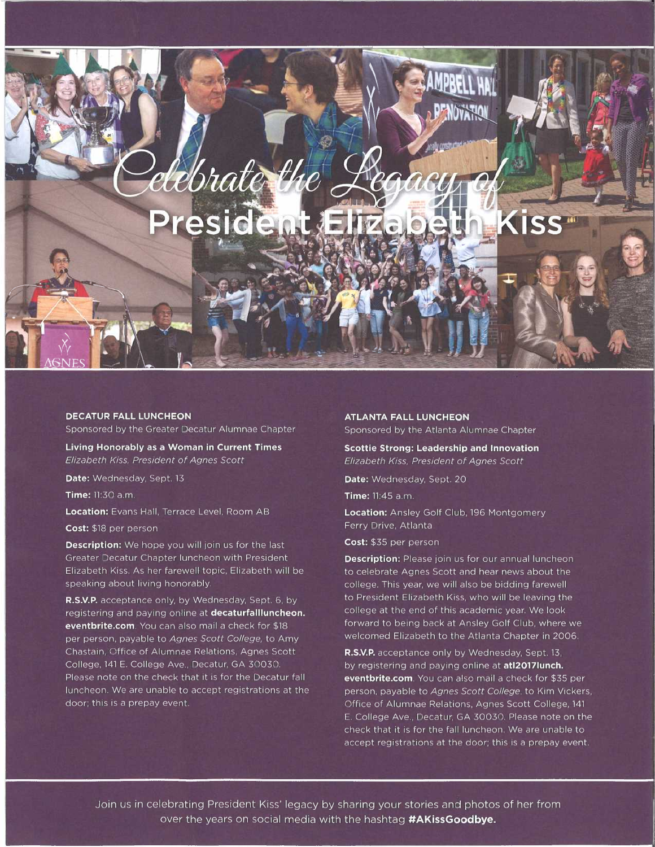# elebrate the President

#### **DECATUR FALL LUNCHEON**

Sponsored by the Greater Decatur Alumnae Chapter

**Living Honorably as a Woman in Current Times**  *Elizabeth Kiss, President of Agnes Scott* 

**Date:** Wednesday, Sept. 13

**Time:** 11:30 a.m.

**Location:** Evans Hall, Terrace Level, Room AB

**Cost:** \$18 per person

**Description:** We hope you will join us for the last Greater Decatur Chapter luncheon with President Elizabeth Kiss. As her farewell topic, Elizabeth will be speaking about living honorably.

**R.S.V.P.** acceptance only, by Wednesday, Sept. 6, by registering and paying online at **decaturfallluncheon. eventbrite.com.** You can also mail a check for \$18 per person, payable to *Agnes Scott College,* to Amy Chastain, Office of Alumnae Relations, Agnes Scott College, 141 E. College Ave., Decatur, GA 30030. Please note on the check that it is for the Decatur fall luncheon. We are unable to accept registrations at the door; this is a prepay event.

#### **ATLANTA FALL LUNCHEON**

Sponsored by the Atlanta Alumnae Chapter

**Scottie Strong: Leadership and Innovation**  *Elizabeth Kiss, President of Agnes Scott* 

**Date:** Wednesday, Sept. 20

**Time:** 11:4S a.m.

**Location:** Ansley Golf Club, 196 Montgomery Ferry Drive, Atlanta

**Cost:** \$35 per person

**Description:** Please join us for our annual luncheon to celebrate Agnes Scott and hear news about the college. This year, we will also be bidding farewell to President Elizabeth Kiss, who will be leaving the college at the end of this academic year. We look forward to being back at Ansley Golf Club, where we welcomed Elizabeth to the Atlanta Chapter in 2006.

**R.S.V.P.** acceptance only by Wednesday, Sept. 13, by registering and paying online at **atl2017Iunch. eventbrite.com.** You can also mail a check for \$35 per person, payable to *Agnes Scott College,* to Kim Vickers, Office of Alumnae Relations, Agnes Scott College, 141 E. College Ave., Decatur, GA 30030. Please note on the check that it is for the fall luncheon. We are unable to accept registrations at the door; this is a prepay event.

Join us in celebrating President Kiss' legacy by sharing your stories and photos of her from over the years on social media with the hashtag **#AKissGoodbye.**